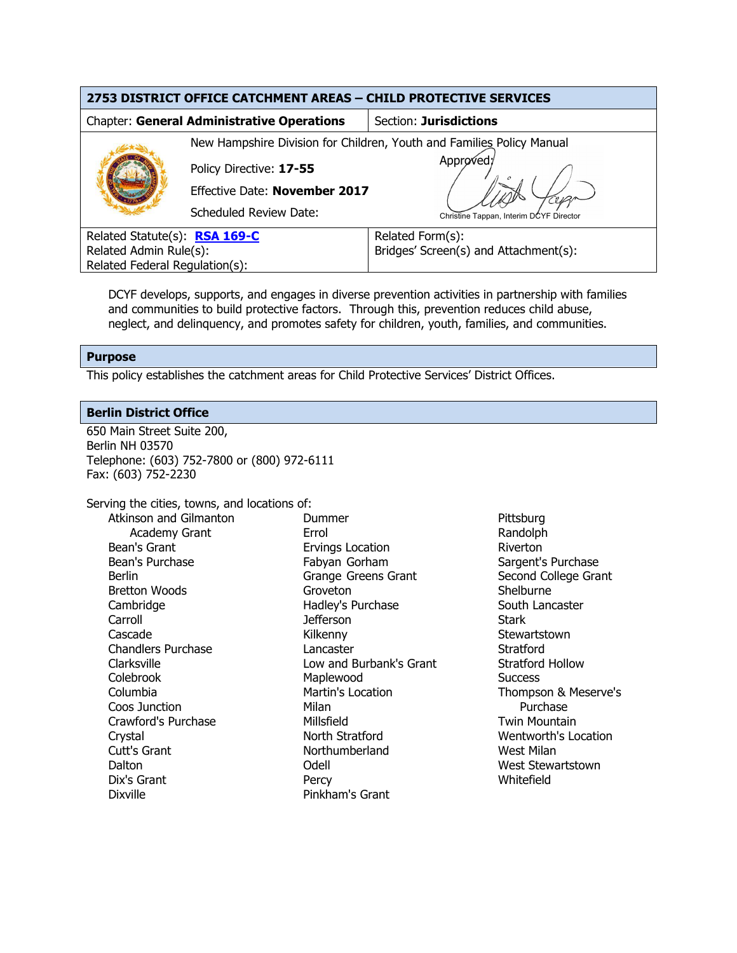| 2753 DISTRICT OFFICE CATCHMENT AREAS - CHILD PROTECTIVE SERVICES |                               |                                                                       |  |  |
|------------------------------------------------------------------|-------------------------------|-----------------------------------------------------------------------|--|--|
| <b>Chapter: General Administrative Operations</b>                |                               | Section: Jurisdictions                                                |  |  |
|                                                                  |                               | New Hampshire Division for Children, Youth and Families Policy Manual |  |  |
|                                                                  | Policy Directive: 17-55       | Approved;                                                             |  |  |
|                                                                  | Effective Date: November 2017 |                                                                       |  |  |
|                                                                  | <b>Scheduled Review Date:</b> | Christine Tappan, Interim DCYF Director                               |  |  |
| Related Statute(s): RSA 169-C                                    |                               | Related Form(s):                                                      |  |  |
| Related Admin Rule(s):                                           |                               | Bridges' Screen(s) and Attachment(s):                                 |  |  |
| Related Federal Regulation(s):                                   |                               |                                                                       |  |  |

DCYF develops, supports, and engages in diverse prevention activities in partnership with families and communities to build protective factors. Through this, prevention reduces child abuse, neglect, and delinquency, and promotes safety for children, youth, families, and communities.

# **Purpose**

This policy establishes the catchment areas for Child Protective Services' District Offices.

# **Berlin District Office**

650 Main Street Suite 200, Berlin NH 03570 Telephone: (603) 752-7800 or (800) 972-6111 Fax: (603) 752-2230

Serving the cities, towns, and locations of: Atkinson and Gilmanton

Academy Grant Bean's Grant Bean's Purchase Berlin Bretton Woods Cambridge **Carroll** Cascade Chandlers Purchase Clarksville Colebrook Columbia Coos Junction Crawford's Purchase Crystal Cutt's Grant Dalton Dix's Grant Dixville

Dummer Errol Ervings Location Fabyan Gorham Grange Greens Grant Groveton Hadley's Purchase Jefferson Kilkenny Lancaster Low and Burbank's Grant Maplewood Martin's Location Milan Millsfield North Stratford Northumberland Odell **Percy** Pinkham's Grant

**Pittsburg** Randolph Riverton Sargent's Purchase Second College Grant Shelburne South Lancaster **Stark Stewartstown Stratford** Stratford Hollow **Success** Thompson & Meserve's Purchase Twin Mountain Wentworth's Location West Milan West Stewartstown Whitefield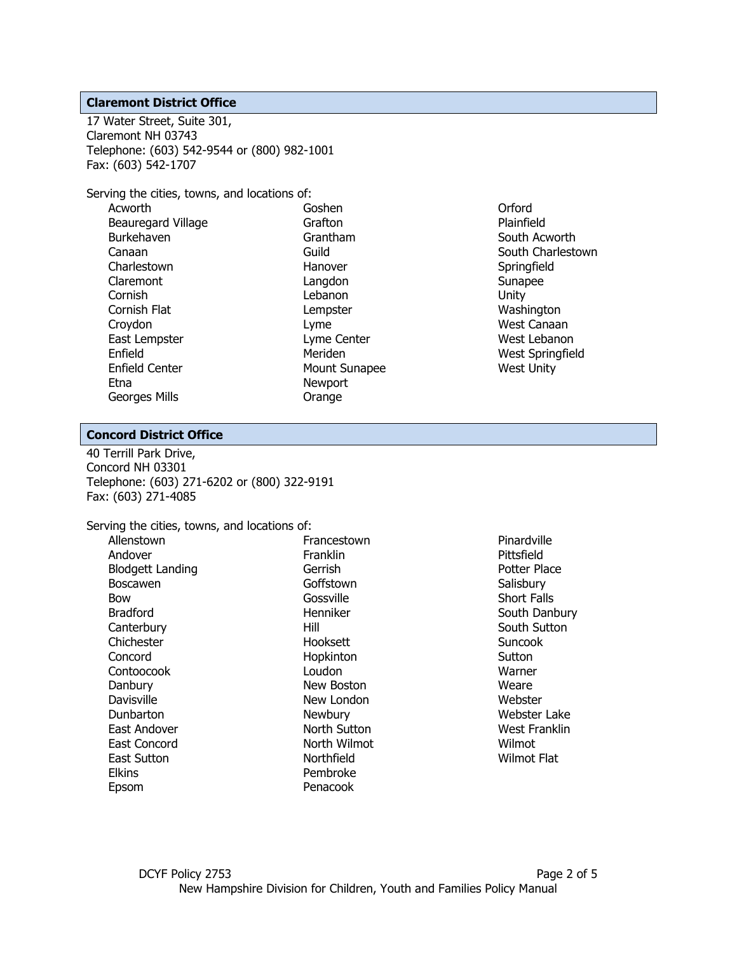## **Claremont District Office**

17 Water Street, Suite 301, Claremont NH 03743 Telephone: (603) 542-9544 or (800) 982-1001 Fax: (603) 542-1707

Serving the cities, towns, and locations of:

| Acworth                   |
|---------------------------|
| <b>Beauregard Village</b> |
| Burkehaven                |
| Canaan                    |
| Charlestown               |
| Claremont                 |
| Cornish                   |
| Cornish Flat              |
| Croydon                   |
| East Lempster             |
| Enfield                   |
| Enfield Center            |
| Ftna                      |
| Georges Mills             |
|                           |

Goshen Grafton Grantham Guild Hanover Langdon Lebanon Lempster Lyme Lyme Center Meriden Mount Sunapee Newport Orange

Orford Plainfield South Acworth South Charlestown **Springfield** Sunapee Unity Washington West Canaan West Lebanon West Springfield West Unity

## **Concord District Office**

40 Terrill Park Drive, Concord NH 03301 Telephone: (603) 271-6202 or (800) 322-9191 Fax: (603) 271-4085

Serving the cities, towns, and locations of:

| Allenstown       | Francestown         |
|------------------|---------------------|
| Andover          | Franklin            |
| Blodgett Landing | Gerrish             |
| Boscawen         | Goffstown           |
| Bow              | Gossville           |
| <b>Bradford</b>  | Henniker            |
| Canterbury       | Hill                |
| Chichester       | Hooksett            |
| Concord          | Hopkinton           |
| Contoocook       | Loudon              |
| Danbury          | New Boston          |
| Davisville       | New London          |
| Dunbarton        | Newbury             |
| East Andover     | <b>North Sutton</b> |
| East Concord     | North Wilmot        |
| East Sutton      | Northfield          |
| Elkins           | Pembroke            |
| Epsom            | Penacook            |

Pinardville Pittsfield Potter Place **Salisbury** Short Falls South Danbury South Sutton **Suncook Sutton** Warner Weare Webster Webster Lake West Franklin Wilmot Wilmot Flat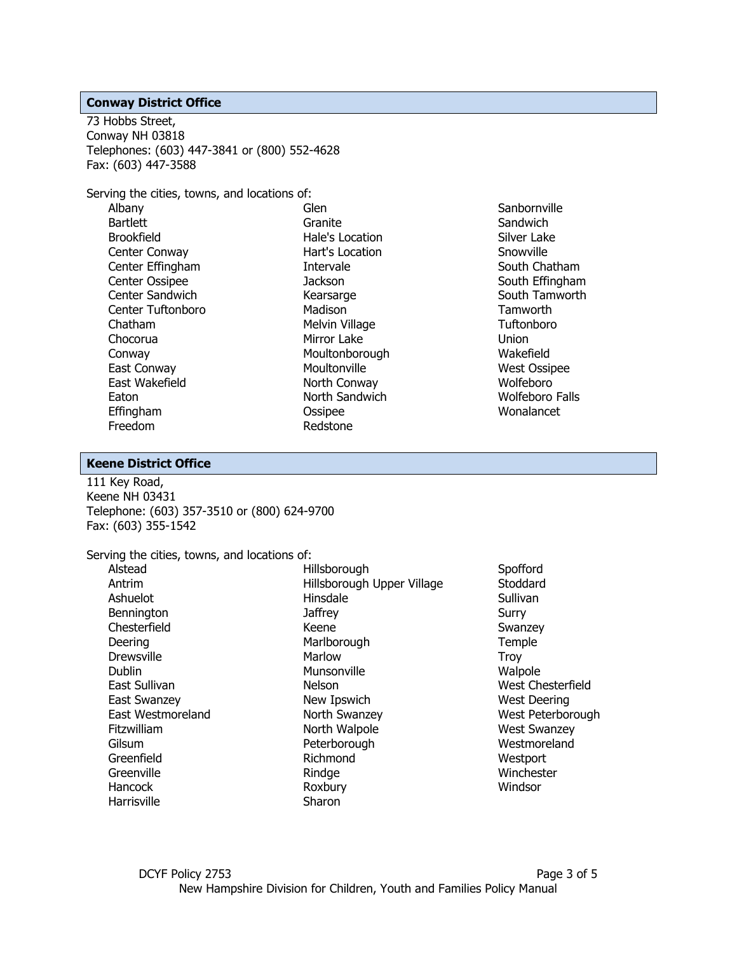#### **Conway District Office**

73 Hobbs Street, Conway NH 03818 Telephones: (603) 447-3841 or (800) 552-4628 Fax: (603) 447-3588

Serving the cities, towns, and locations of:

Albany **Bartlett** Brookfield Center Conway Center Effingham Center Ossipee Center Sandwich Center Tuftonboro Chatham Chocorua Conway East Conway East Wakefield Eaton Effingham Freedom

Glen Granite Hale's Location Hart's Location Intervale **Jackson Kearsarge** Madison Melvin Village Mirror Lake Moultonborough Moultonville North Conway North Sandwich **Ossipee** Redstone

**Sanbornville Sandwich** Silver Lake Snowville South Chatham South Effingham South Tamworth **Tamworth Tuftonboro** Union Wakefield West Ossipee Wolfeboro Wolfeboro Falls Wonalancet

### **Keene District Office**

111 Key Road, Keene NH 03431 Telephone: (603) 357-3510 or (800) 624-9700 Fax: (603) 355-1542

#### Serving the cities, towns, and locations of:

| Alstead             |
|---------------------|
| Antrim              |
| Ashuelot            |
| Bennington          |
| Chesterfield        |
| Deering             |
| <b>Drewsville</b>   |
| Dublin              |
| East Sullivan       |
| <b>East Swanzey</b> |
| East Westmoreland   |
| Fitzwilliam         |
| Gilsum              |
| Greenfield          |
| Greenville          |
| Hancock             |
| Harrisville         |

Hillsborough Hillsborough Upper Village Hinsdale **Jaffrey** Keene **Marlborough** Marlow Munsonville Nelson New Ipswich North Swanzey North Walpole Peterborough Richmond **Rindge** Roxbury Sharon

Spofford **Stoddard** Sullivan Surry Swanzey Temple **Troy** Walpole West Chesterfield West Deering West Peterborough West Swanzey **Westmoreland Westport** Winchester **Windsor**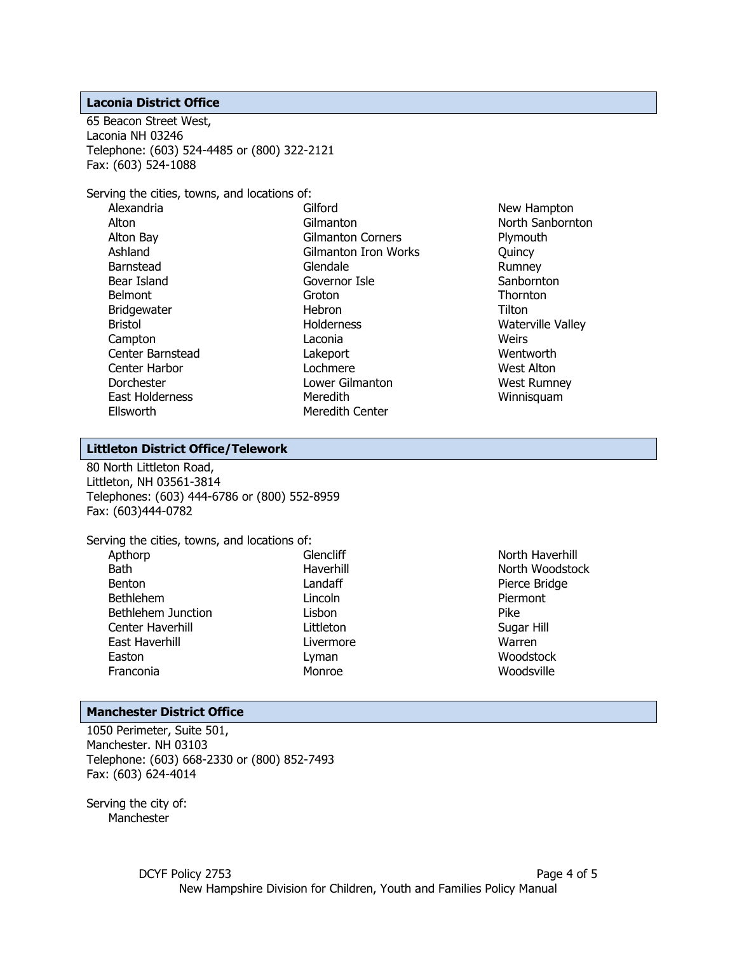#### **Laconia District Office**

65 Beacon Street West, Laconia NH 03246 Telephone: (603) 524-4485 or (800) 322-2121 Fax: (603) 524-1088

Serving the cities, towns, and locations of:

Gilford Gilmanton Gilmanton Corners Gilmanton Iron Works Glendale Governor Isle Groton Hebron **Holderness** Laconia Lakeport Lochmere Lower Gilmanton **Meredith** Meredith Center

New Hampton North Sanbornton Plymouth Quincy Rumney **Sanbornton Thornton Tilton** Waterville Valley **Weirs** Wentworth West Alton West Rumney Winnisquam

# **Littleton District Office/Telework**

80 North Littleton Road, Littleton, NH 03561-3814 Telephones: (603) 444-6786 or (800) 552-8959 Fax: (603)444-0782

| Serving the cities, towns, and locations of: |     |
|----------------------------------------------|-----|
| Apthorp                                      | G   |
| Bath                                         | Ha  |
| <b>Benton</b>                                | La  |
| <b>Bethlehem</b>                             | Li  |
| <b>Bethlehem Junction</b>                    | Li: |
| Center Haverhill                             | Ιi  |
| East Haverhill                               | Ιi  |
| Easton                                       | Ly  |
| Franconia                                    | м   |
|                                              |     |

**Glencliff** Haverhill Landaff Lincoln Lisbon Littleton Livermore Lyman Monroe

North Haverhill North Woodstock Pierce Bridge Piermont Pike Sugar Hill Warren **Woodstock** Woodsville

#### **Manchester District Office**

1050 Perimeter, Suite 501, Manchester. NH 03103 Telephone: (603) 668-2330 or (800) 852-7493 Fax: (603) 624-4014

Serving the city of: **Manchester**